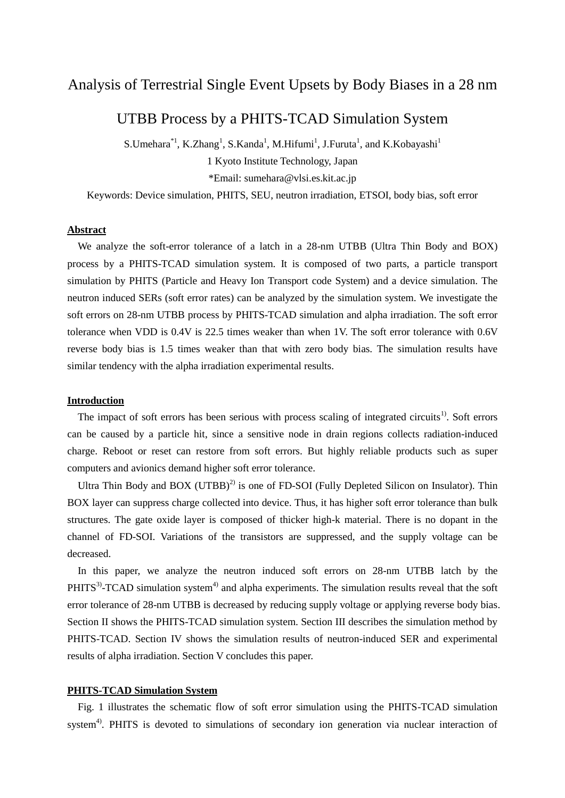# Analysis of Terrestrial Single Event Upsets by Body Biases in a 28 nm

# UTBB Process by a PHITS-TCAD Simulation System

S.Umehara<sup>\*1</sup>, K.Zhang<sup>1</sup>, S.Kanda<sup>1</sup>, M.Hifumi<sup>1</sup>, J.Furuta<sup>1</sup>, and K.Kobayashi<sup>1</sup> 1 Kyoto Institute Technology, Japan

\*Email: sumehara@vlsi.es.kit.ac.jp

Keywords: Device simulation, PHITS, SEU, neutron irradiation, ETSOI, body bias, soft error

## **Abstract**

We analyze the soft-error tolerance of a latch in a 28-nm UTBB (Ultra Thin Body and BOX) process by a PHITS-TCAD simulation system. It is composed of two parts, a particle transport simulation by PHITS (Particle and Heavy Ion Transport code System) and a device simulation. The neutron induced SERs (soft error rates) can be analyzed by the simulation system. We investigate the soft errors on 28-nm UTBB process by PHITS-TCAD simulation and alpha irradiation. The soft error tolerance when VDD is 0.4V is 22.5 times weaker than when 1V. The soft error tolerance with 0.6V reverse body bias is 1.5 times weaker than that with zero body bias. The simulation results have similar tendency with the alpha irradiation experimental results.

## **Introduction**

The impact of soft errors has been serious with process scaling of integrated circuits<sup>1)</sup>. Soft errors can be caused by a particle hit, since a sensitive node in drain regions collects radiation-induced charge. Reboot or reset can restore from soft errors. But highly reliable products such as super computers and avionics demand higher soft error tolerance.

Ultra Thin Body and BOX  $(UTBB)^2$  is one of FD-SOI (Fully Depleted Silicon on Insulator). Thin BOX layer can suppress charge collected into device. Thus, it has higher soft error tolerance than bulk structures. The gate oxide layer is composed of thicker high-k material. There is no dopant in the channel of FD-SOI. Variations of the transistors are suppressed, and the supply voltage can be decreased.

In this paper, we analyze the neutron induced soft errors on 28-nm UTBB latch by the  $PHITS<sup>3</sup>$ -TCAD simulation system<sup>4)</sup> and alpha experiments. The simulation results reveal that the soft error tolerance of 28-nm UTBB is decreased by reducing supply voltage or applying reverse body bias. Section II shows the PHITS-TCAD simulation system. Section III describes the simulation method by PHITS-TCAD. Section IV shows the simulation results of neutron-induced SER and experimental results of alpha irradiation. Section V concludes this paper.

# **PHITS-TCAD Simulation System**

Fig. 1 illustrates the schematic flow of soft error simulation using the PHITS-TCAD simulation system<sup>4)</sup>. PHITS is devoted to simulations of secondary ion generation via nuclear interaction of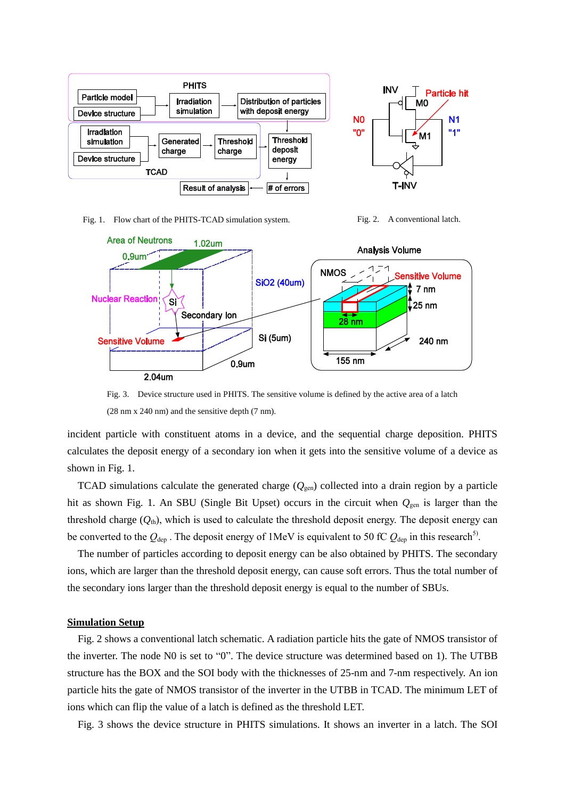

Fig. 1. Flow chart of the PHITS-TCAD simulation system. Fig. 2. A conventional latch.



Fig. 3. Device structure used in PHITS. The sensitive volume is defined by the active area of a latch (28 nm x 240 nm) and the sensitive depth (7 nm).

incident particle with constituent atoms in a device, and the sequential charge deposition. PHITS calculates the deposit energy of a secondary ion when it gets into the sensitive volume of a device as shown in Fig. 1.

TCAD simulations calculate the generated charge  $(Q_{gen})$  collected into a drain region by a particle hit as shown Fig. 1. An SBU (Single Bit Upset) occurs in the circuit when  $Q_{gen}$  is larger than the threshold charge  $(Q<sub>th</sub>)$ , which is used to calculate the threshold deposit energy. The deposit energy can be converted to the  $Q_{\text{dep}}$ . The deposit energy of 1MeV is equivalent to 50 fC  $Q_{\text{dep}}$  in this research<sup>5)</sup>.

The number of particles according to deposit energy can be also obtained by PHITS. The secondary ions, which are larger than the threshold deposit energy, can cause soft errors. Thus the total number of the secondary ions larger than the threshold deposit energy is equal to the number of SBUs.

### **Simulation Setup**

Fig. 2 shows a conventional latch schematic. A radiation particle hits the gate of NMOS transistor of the inverter. The node N0 is set to "0". The device structure was determined based on 1). The UTBB structure has the BOX and the SOI body with the thicknesses of 25-nm and 7-nm respectively. An ion particle hits the gate of NMOS transistor of the inverter in the UTBB in TCAD. The minimum LET of ions which can flip the value of a latch is defined as the threshold LET.

Fig. 3 shows the device structure in PHITS simulations. It shows an inverter in a latch. The SOI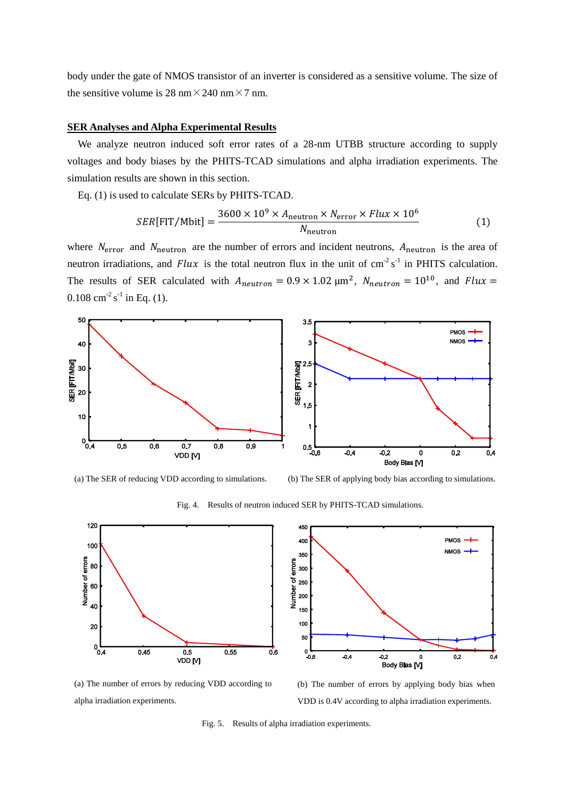body under the gate of NMOS transistor of an inverter is considered as a sensitive volume. The size of the sensitive volume is 28 nm $\times$  240 nm $\times$  7 nm.

### **SER Analyses and Alpha Experimental Results**

 We analyze neutron induced soft error rates of a 28-nm UTBB structure according to supply voltages and body biases by the PHITS-TCAD simulations and alpha irradiation experiments. The simulation results are shown in this section.

Eq. (1) is used to calculate SERs by PHITS-TCAD.

$$
SER[FIT/Mbit] = \frac{3600 \times 10^9 \times A_{neutron} \times N_{error} \times Flux \times 10^6}{N_{neutron}}
$$
(1)

where  $N_{\text{error}}$  and  $N_{\text{neutron}}$  are the number of errors and incident neutrons,  $A_{\text{neutron}}$  is the area of neutron irradiations, and Flux is the total neutron flux in the unit of  $cm<sup>2</sup> s<sup>-1</sup>$  in PHITS calculation. The results of SER calculated with  $A_{neutron} = 0.9 \times 1.02 \mu m^2$ ,  $N_{neutron} = 10^{10}$ , and  $Flux =$ 0.108 cm<sup>-2</sup> s<sup>-1</sup> in Eq. (1).



(a) The SER of reducing VDD according to simulations. (b) The SER of applying body bias according to simulations.

Fig. 4. Results of neutron induced SER by PHITS-TCAD simulations.



(a) The number of errors by reducing VDD according to alpha irradiation experiments.

(b) The number of errors by applying body bias when VDD is 0.4V according to alpha irradiation experiments.

Fig. 5. Results of alpha irradiation experiments.